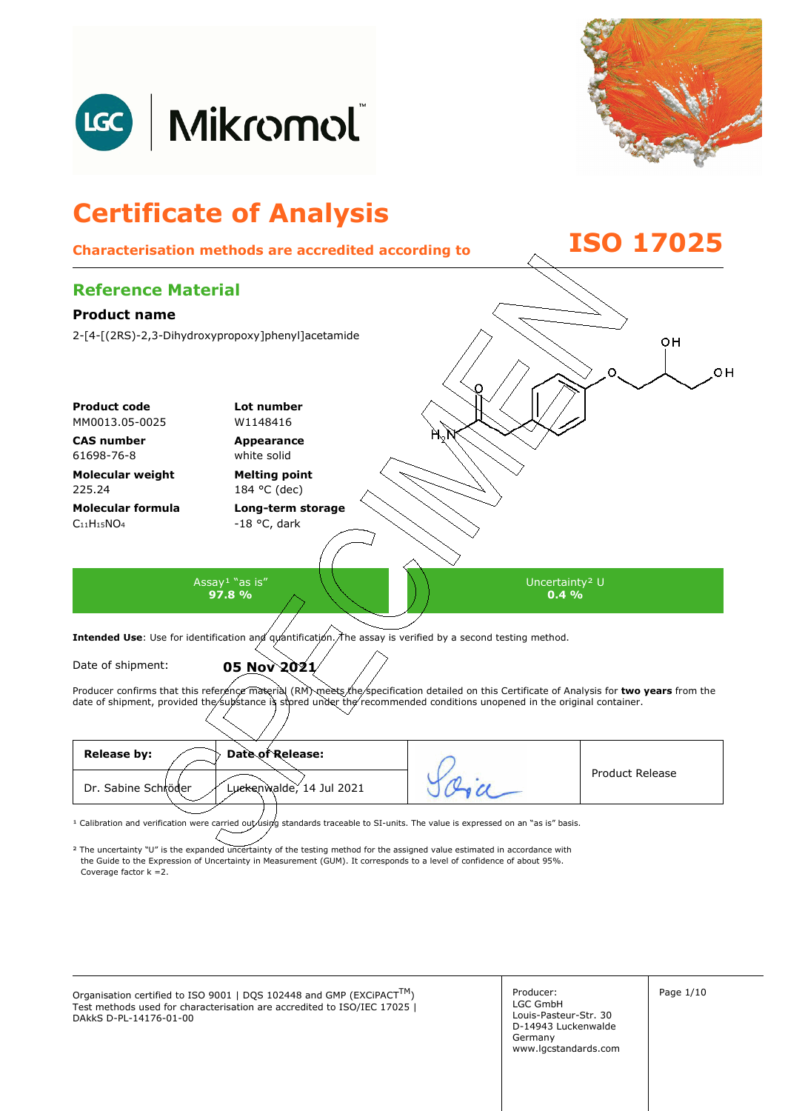



## **Certificate of Analysis Characterisation methods are accredited according to ISO 17025 Reference Material Product name**  2-[4-[(2RS)-2,3-Dihydroxypropoxy]phenyl]acetamide oн oн **Product code Lot number** MM0013.05-0025 W1148416 **CAS number Appearance**  61698-76-8 white solid **Molecular weight Melting point**  225.24 184 °C (dec) **Molecular formula Long-term storage**   $C<sub>11</sub>H<sub>15</sub>NO<sub>4</sub>$ -18 °C, dark Assay<sup>1</sup> "as is" Uncertainty² U **97.8 %**   $0.4\%$ Intended Use: Use for identification and quantification. The assay is verified by a second testing method. Date of shipment: **05 Nov 2021** Producer confirms that this reference material (RM) meets the specification detailed on this Certificate of Analysis for two years from the date of shipment, provided the substance is stored under the recommended conditions unopened in the original container. **Release by: Date of Release:**  Product Release Dr. Sabine Schröder Luckenwalde, 14 Jul 2021

<sup>1</sup> Calibration and verification were carried out using standards traceable to SI-units. The value is expressed on an "as is" basis.

² The uncertainty "U" is the expanded uncertainty of the testing method for the assigned value estimated in accordance with Coverage factor k =2. the Guide to the Expression of Uncertainty in Measurement (GUM). It corresponds to a level of confidence of about 95%.

Organisation certified to ISO 9001 | DQS 102448 and GMP (EXCiPACT<sup>TM</sup>)  $\vert$  Producer:  $\vert$  Page 1/10 Test methods used for characterisation are accredited to ISO/IEC 17025 | DAkkS D-PL-14176-01-00

Producer: LGC GmbH Louis-Pasteur-Str. 30 D-14943 Luckenwalde Germany www.lgcstandards.com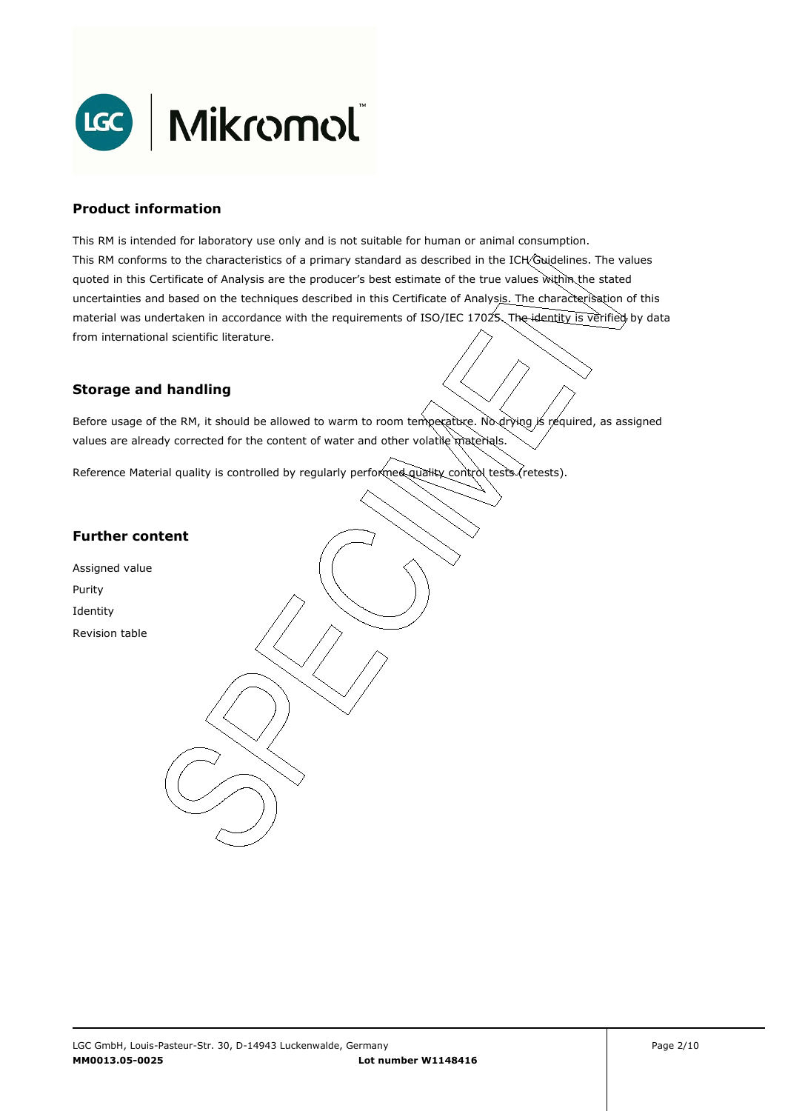

### **Product information**

This RM is intended for laboratory use only and is not suitable for human or animal consumption. This RM conforms to the characteristics of a primary standard as described in the ICH Guidelines. The values quoted in this Certificate of Analysis are the producer's best estimate of the true values within the stated uncertainties and based on the techniques described in this Certificate of Analysis. The characterisation of this material was undertaken in accordance with the requirements of ISO/IEC 17025. The identity is verified by data from international scientific literature.

## **Storage and handling**

Before usage of the RM, it should be allowed to warm to room temperature. No drying is required, as assigned values are already corrected for the content of water and other volatile materials.

Reference Material quality is controlled by regularly performed quality control tests (retests).

## **Further content**

Assigned value Purity Identity Revision table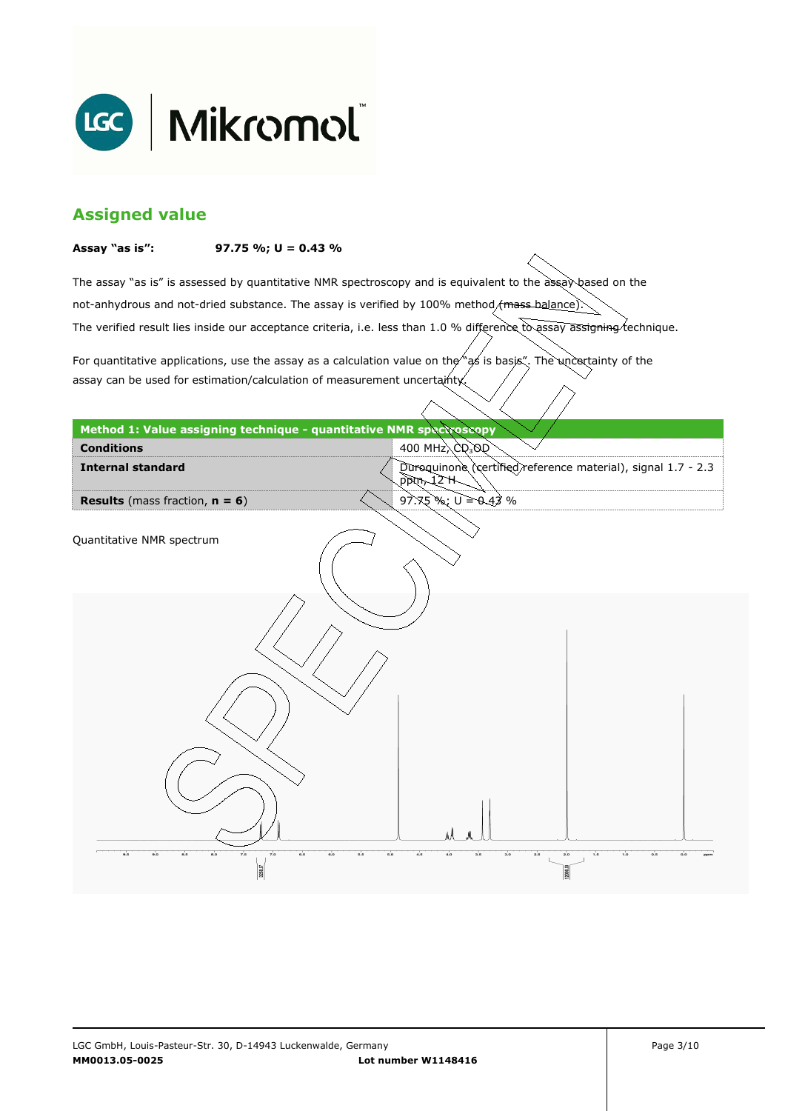

# **Assigned value**

#### **Assay "as is": 97.75 %; U = 0.43 %**

The assay "as is" is assessed by quantitative NMR spectroscopy and is equivalent to the assay based on the The verified result lies inside our acceptance criteria, i.e. less than 1.0 % difference to assay assigning technique. not-anhydrous and not-dried substance. The assay is verified by 100% method/mass-balance)

For quantitative applications, use the assay as a calculation value on the  $\gamma$  as is basis". The uncertainty of the assay can be used for estimation/calculation of measurement uncertainty.

| Method 1: Value assigning technique - quantitative NMR spectroscopy    |                                                                            |
|------------------------------------------------------------------------|----------------------------------------------------------------------------|
| <b>Conditions</b>                                                      | 400 MHz $\langle$ CQ <sub>3</sub> OQ                                       |
| <b>Internal standard</b>                                               | Duroquinone (certified) reference material), signal 1.7 - 2.3<br>H SL, máq |
| <b>Results</b> (mass fraction, $n = 6$ )                               | $97.75$ %; $U = 0.43$ %                                                    |
| Quantitative NMR spectrum                                              |                                                                            |
|                                                                        |                                                                            |
|                                                                        |                                                                            |
| 7.0<br>8.5<br>7.5<br>6.6<br>9.5<br>8.0<br>6.6<br>9.0<br>6.0<br>3258.37 | 3.0<br>2.5<br>1.6<br>4.0<br>s.s<br>5.0<br>4.6<br>2.0<br>1.0<br>0.5<br>0.0  |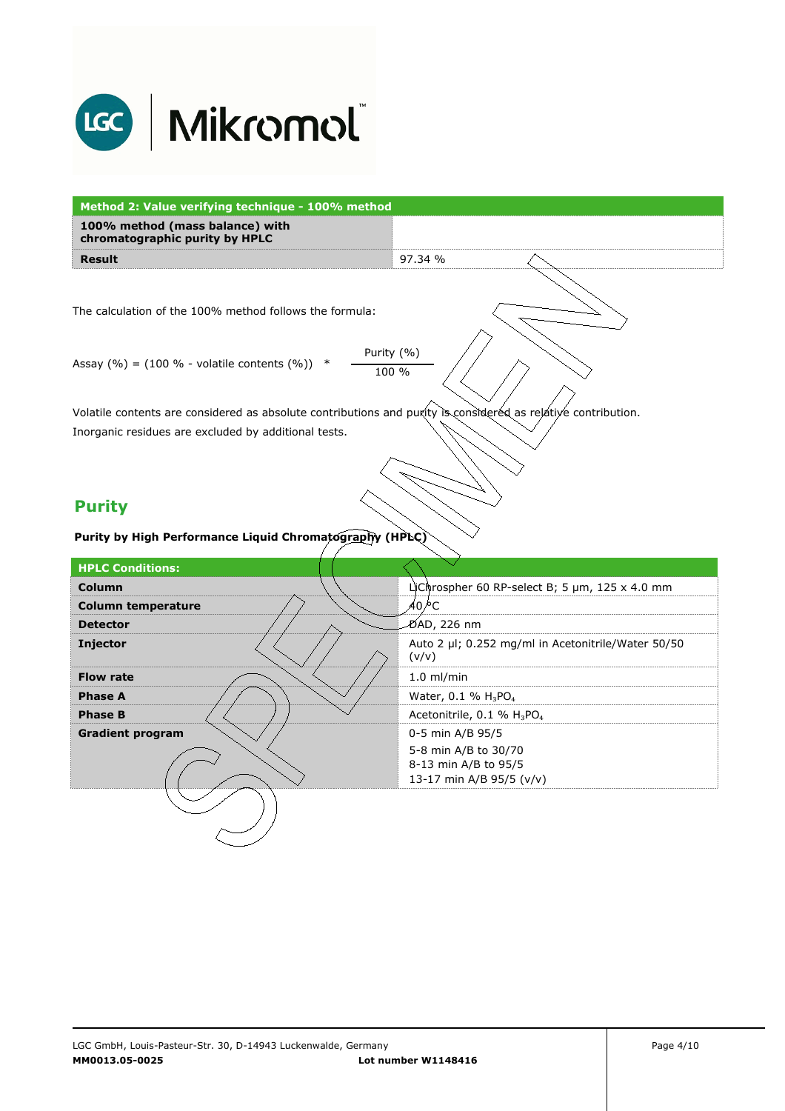

| Method 2: Value verifying technique - 100% method                                                             |                                                                          |  |
|---------------------------------------------------------------------------------------------------------------|--------------------------------------------------------------------------|--|
| 100% method (mass balance) with<br>chromatographic purity by HPLC                                             |                                                                          |  |
| <b>Result</b>                                                                                                 | 97.34 %                                                                  |  |
| The calculation of the 100% method follows the formula:                                                       |                                                                          |  |
| Purity (%)                                                                                                    |                                                                          |  |
| Assay $(\% ) = (100 \% - volatile contents (\%) )$<br>100 %                                                   |                                                                          |  |
| Volatile contents are considered as absolute contributions and purity is considered as relative contribution. |                                                                          |  |
| Inorganic residues are excluded by additional tests.                                                          |                                                                          |  |
| <b>Purity</b><br>Purity by High Performance Liquid Chromatography (HPLC)                                      |                                                                          |  |
| <b>HPLC Conditions:</b>                                                                                       |                                                                          |  |
| <b>Column</b>                                                                                                 | LiChrospher 60 RP-select B; 5 µm, 125 x 4.0 mm                           |  |
| <b>Column temperature</b>                                                                                     | 40 ⁄°С                                                                   |  |
| <b>Detector</b>                                                                                               | ∕D́AD, 226 nm                                                            |  |
| Injector                                                                                                      | Auto 2 µl; 0.252 mg/ml in Acetonitrile/Water 50/50<br>(v/v)              |  |
| <b>Flow rate</b>                                                                                              | $1.0$ ml/min                                                             |  |
| <b>Phase A</b>                                                                                                | Water, 0.1 % $H_3PO_4$                                                   |  |
| <b>Phase B</b>                                                                                                | Acetonitrile, 0.1 % H <sub>3</sub> PO <sub>4</sub>                       |  |
| <b>Gradient program</b>                                                                                       | 0-5 min A/B 95/5                                                         |  |
|                                                                                                               | 5-8 min A/B to 30/70<br>8-13 min A/B to 95/5<br>13-17 min A/B 95/5 (v/v) |  |
|                                                                                                               |                                                                          |  |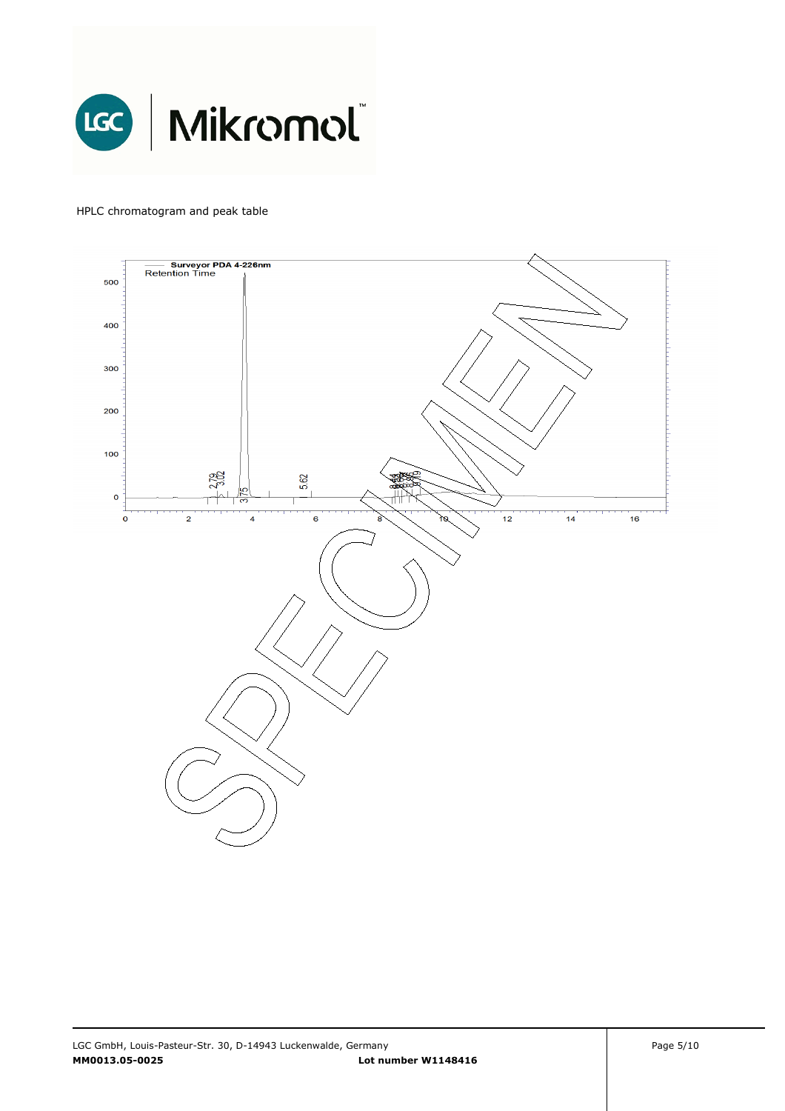

#### HPLC chromatogram and peak table

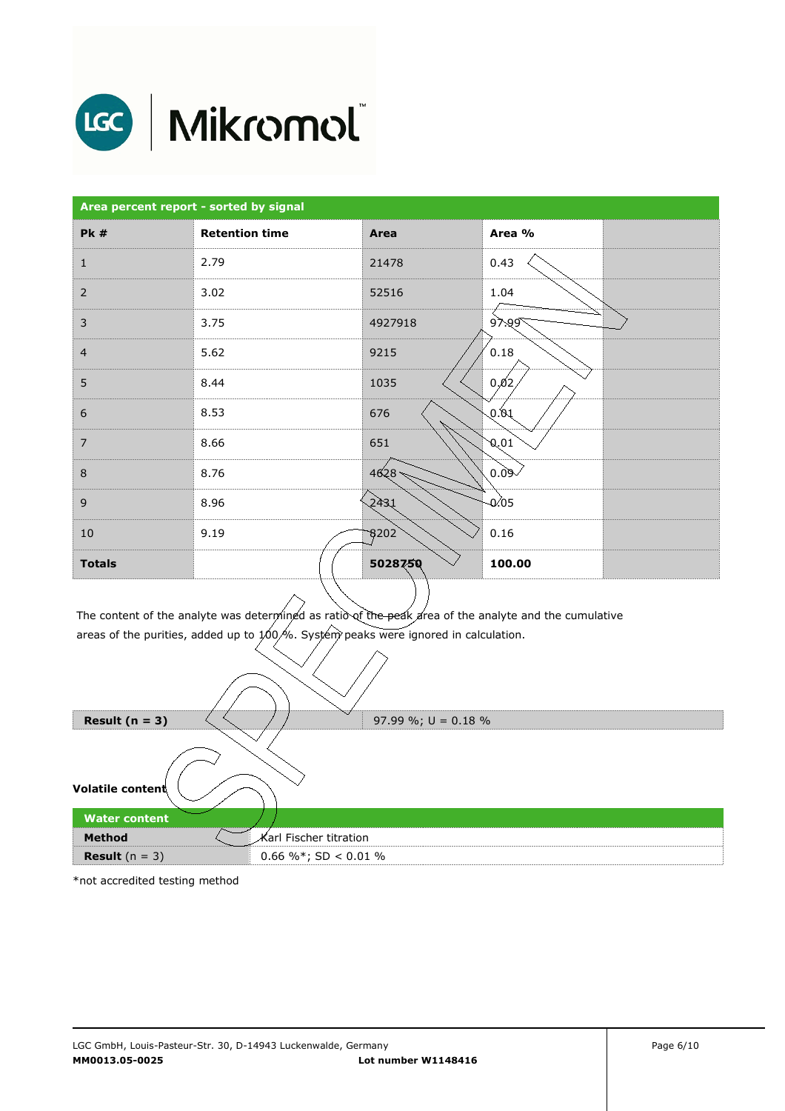

# LGC | Mikromol

| Area percent report - sorted by signal |                       |               |          |  |
|----------------------------------------|-----------------------|---------------|----------|--|
| <b>Pk #</b>                            | <b>Retention time</b> | Area          | Area %   |  |
| $\mathbf{1}$                           | 2.79                  | 21478         | 0.43     |  |
| $\overline{2}$                         | 3.02                  | 52516         | 1.04     |  |
| $\mathsf 3$                            | 3.75                  | 4927918       | $9$ .99  |  |
| $\overline{4}$                         | 5.62                  | 9215          | 0.18     |  |
| 5                                      | 8.44                  | 1035          | 0,02     |  |
| $\boldsymbol{6}$                       | 8.53                  | 676           | 0.01     |  |
| $\overline{7}$                         | 8.66                  | 651           | 0,01     |  |
| $\,8\,$                                | 8.76                  | 4628          | $-60.09$ |  |
| $\mathsf 9$                            | 8.96                  | 2431          | 0.05     |  |
| 10                                     | 9.19                  | $\sqrt{3202}$ | 0.16     |  |
| <b>Totals</b>                          |                       | 5028750       | 100.00   |  |

The content of the analyte was determined as ratio`of the peak area of the analyte and the cumulative<br>areas of the purities, added up to 100,%. System peaks were ignored in calculation.

|                         | $\checkmark$           |
|-------------------------|------------------------|
| Result $(n = 3)$        | 97.99 %; $U = 0.18$ %  |
| Volatile content        |                        |
| <b>Water content</b>    |                        |
| <b>Method</b>           | Karl Fischer titration |
| <b>Result</b> $(n = 3)$ | 0.66 %*; SD < 0.01 %   |

\*not accredited testing method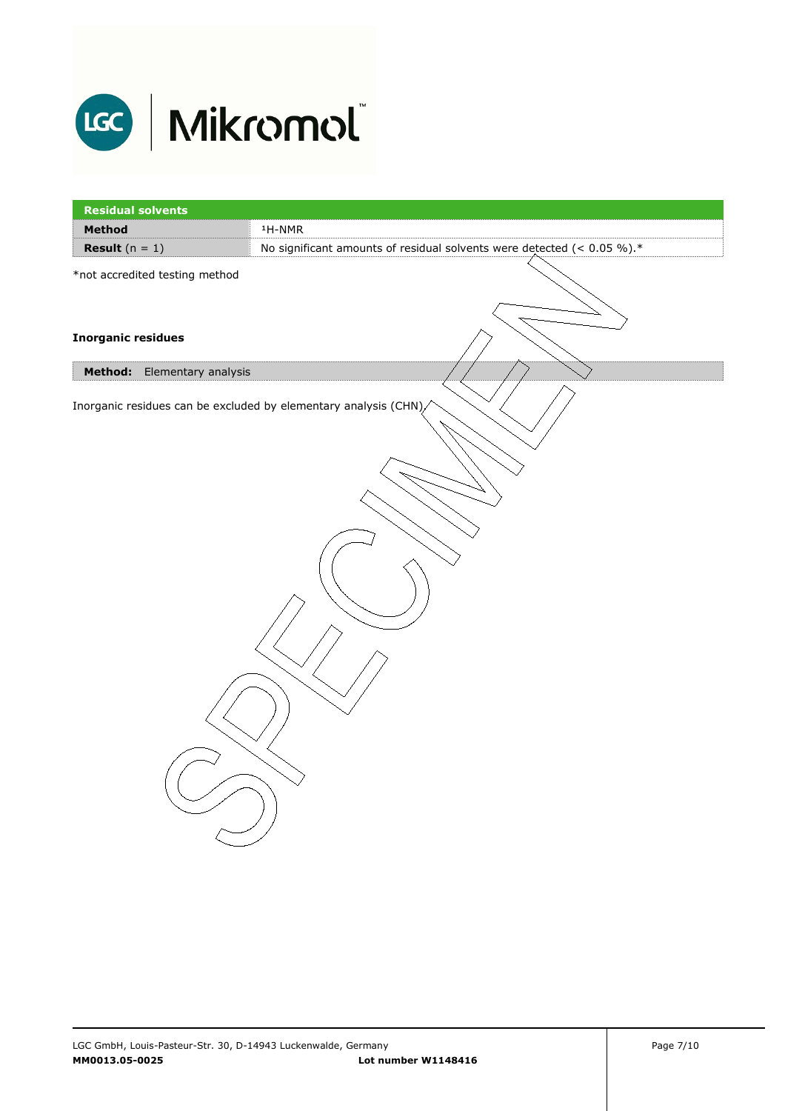

| <b>Residual solvents</b>                                         |                                                                           |  |
|------------------------------------------------------------------|---------------------------------------------------------------------------|--|
| Method                                                           | $1H-NMR$                                                                  |  |
| <b>Result</b> $(n = 1)$                                          | No significant amounts of residual solvents were detected $($ < 0.05 %).* |  |
| *not accredited testing method                                   |                                                                           |  |
| <b>Inorganic residues</b>                                        |                                                                           |  |
| Method:<br>Elementary analysis                                   |                                                                           |  |
| Inorganic residues can be excluded by elementary analysis (CHN), |                                                                           |  |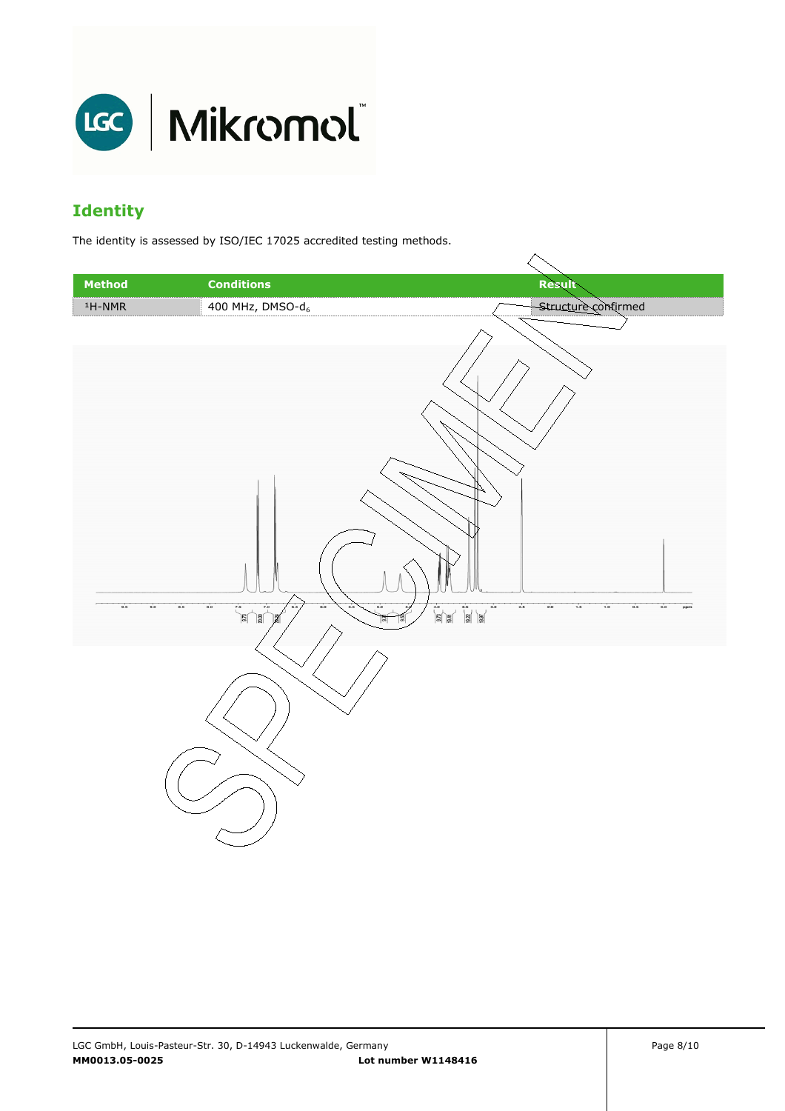

# **Identity**

The identity is assessed by ISO/IEC 17025 accredited testing methods.

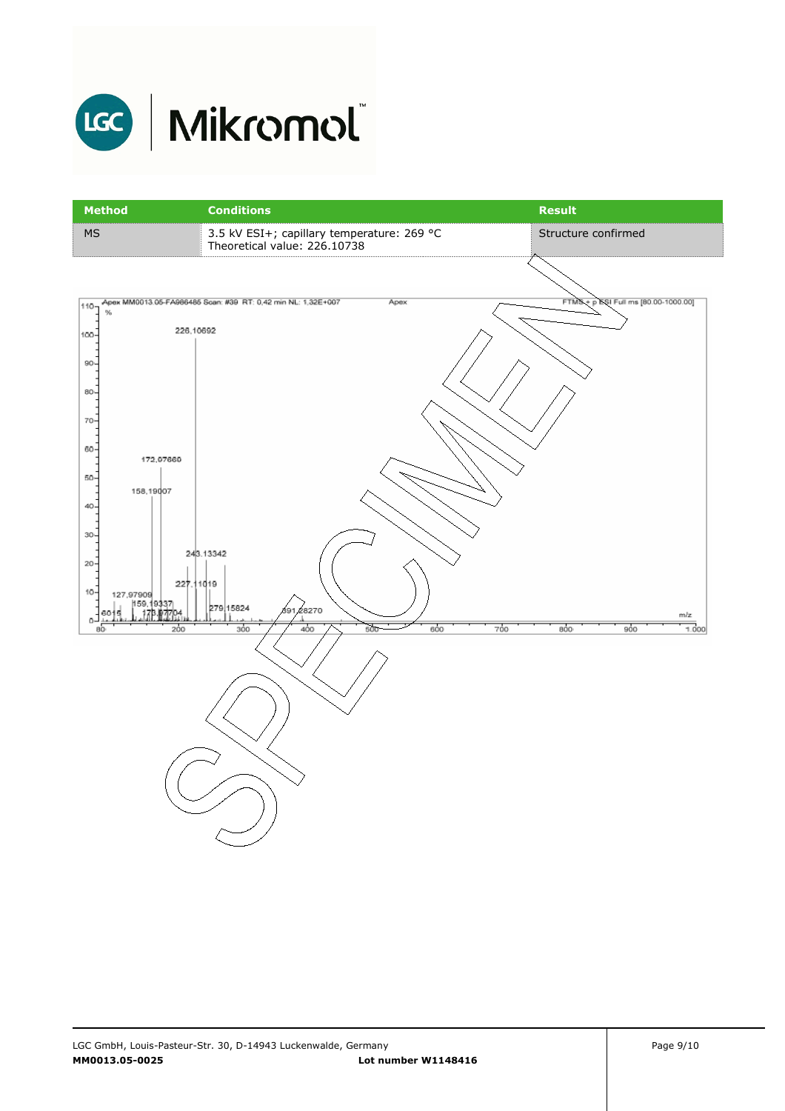

# LGC | Mikromol